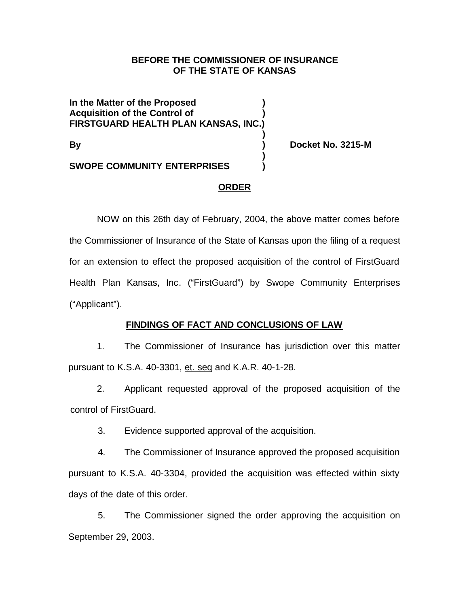## **BEFORE THE COMMISSIONER OF INSURANCE OF THE STATE OF KANSAS**

**In the Matter of the Proposed ) Acquisition of the Control of ) FIRSTGUARD HEALTH PLAN KANSAS, INC.)**

**By ) Docket No. 3215-M**

**SWOPE COMMUNITY ENTERPRISES )**

## **ORDER**

**)**

**)**

NOW on this 26th day of February, 2004, the above matter comes before the Commissioner of Insurance of the State of Kansas upon the filing of a request for an extension to effect the proposed acquisition of the control of FirstGuard Health Plan Kansas, Inc. ("FirstGuard") by Swope Community Enterprises ("Applicant").

# **FINDINGS OF FACT AND CONCLUSIONS OF LAW**

1. The Commissioner of Insurance has jurisdiction over this matter pursuant to K.S.A. 40-3301, et. seq and K.A.R. 40-1-28.

2. Applicant requested approval of the proposed acquisition of the control of FirstGuard.

3. Evidence supported approval of the acquisition.

4. The Commissioner of Insurance approved the proposed acquisition pursuant to K.S.A. 40-3304, provided the acquisition was effected within sixty days of the date of this order.

5. The Commissioner signed the order approving the acquisition on September 29, 2003.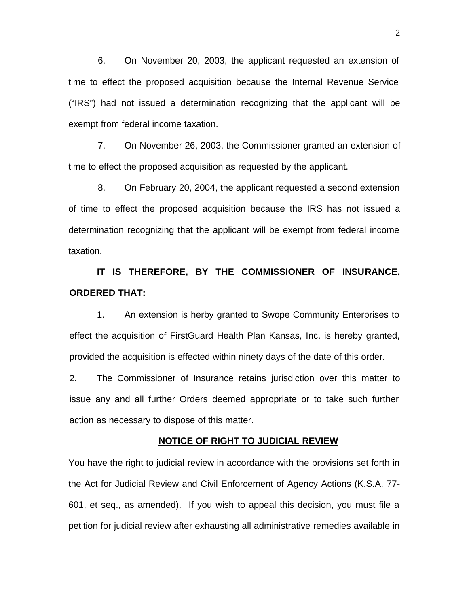6. On November 20, 2003, the applicant requested an extension of time to effect the proposed acquisition because the Internal Revenue Service ("IRS") had not issued a determination recognizing that the applicant will be exempt from federal income taxation.

7. On November 26, 2003, the Commissioner granted an extension of time to effect the proposed acquisition as requested by the applicant.

8. On February 20, 2004, the applicant requested a second extension of time to effect the proposed acquisition because the IRS has not issued a determination recognizing that the applicant will be exempt from federal income taxation.

**IT IS THEREFORE, BY THE COMMISSIONER OF INSURANCE, ORDERED THAT:**

1. An extension is herby granted to Swope Community Enterprises to effect the acquisition of FirstGuard Health Plan Kansas, Inc. is hereby granted, provided the acquisition is effected within ninety days of the date of this order.

2. The Commissioner of Insurance retains jurisdiction over this matter to issue any and all further Orders deemed appropriate or to take such further action as necessary to dispose of this matter.

#### **NOTICE OF RIGHT TO JUDICIAL REVIEW**

You have the right to judicial review in accordance with the provisions set forth in the Act for Judicial Review and Civil Enforcement of Agency Actions (K.S.A. 77- 601, et seq., as amended). If you wish to appeal this decision, you must file a petition for judicial review after exhausting all administrative remedies available in